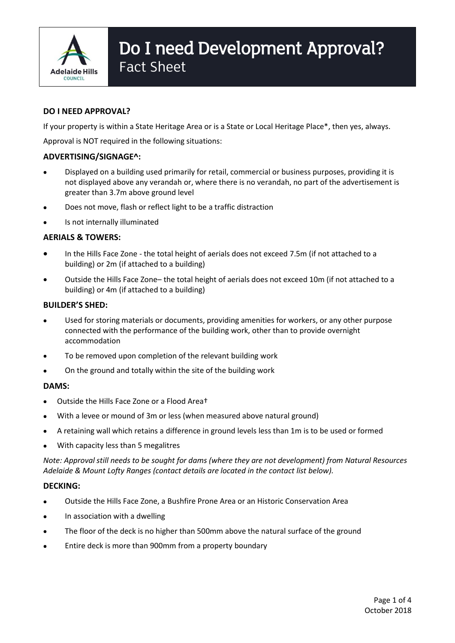

# Do I need Development Approval? Fact Sheet

## **DO I NEED APPROVAL?**

If your property is within a State Heritage Area or is a State or Local Heritage Place\*, then yes, always.

Approval is NOT required in the following situations:

## **ADVERTISING/SIGNAGE^:**

- Displayed on a building used primarily for retail, commercial or business purposes, providing it is not displayed above any verandah or, where there is no verandah, no part of the advertisement is greater than 3.7m above ground level
- Does not move, flash or reflect light to be a traffic distraction
- Is not internally illuminated

## **AERIALS & TOWERS:**

- In the Hills Face Zone the total height of aerials does not exceed 7.5m (if not attached to a building) or 2m (if attached to a building)
- Outside the Hills Face Zone– the total height of aerials does not exceed 10m (if not attached to a building) or 4m (if attached to a building)

## **BUILDER'S SHED:**

- Used for storing materials or documents, providing amenities for workers, or any other purpose connected with the performance of the building work, other than to provide overnight accommodation
- To be removed upon completion of the relevant building work
- On the ground and totally within the site of the building work

## **DAMS:**

- Outside the Hills Face Zone or a Flood Area†
- With a levee or mound of 3m or less (when measured above natural ground)
- A retaining wall which retains a difference in ground levels less than 1m is to be used or formed
- With capacity less than 5 megalitres

*Note: Approval still needs to be sought for dams (where they are not development) from Natural Resources Adelaide & Mount Lofty Ranges (contact details are located in the contact list below).*

## **DECKING:**

- Outside the Hills Face Zone, a Bushfire Prone Area or an Historic Conservation Area
- In association with a dwelling
- The floor of the deck is no higher than 500mm above the natural surface of the ground
- Entire deck is more than 900mm from a property boundary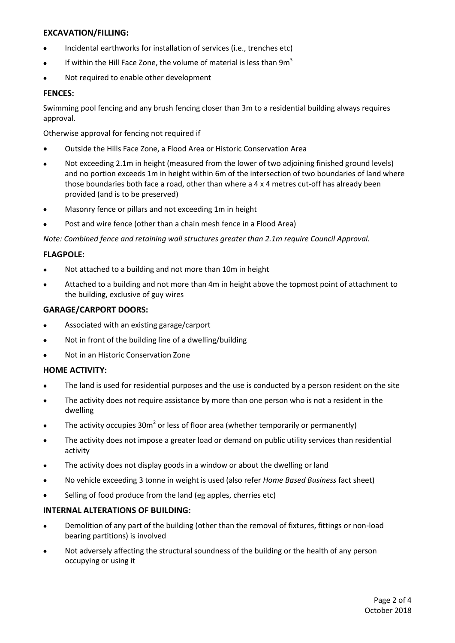## **EXCAVATION/FILLING:**

- Incidental earthworks for installation of services (i.e., trenches etc)
- If within the Hill Face Zone, the volume of material is less than  $9m<sup>3</sup>$
- Not required to enable other development

## **FENCES:**

Swimming pool fencing and any brush fencing closer than 3m to a residential building always requires approval.

Otherwise approval for fencing not required if

- Outside the Hills Face Zone, a Flood Area or Historic Conservation Area
- Not exceeding 2.1m in height (measured from the lower of two adjoining finished ground levels) and no portion exceeds 1m in height within 6m of the intersection of two boundaries of land where those boundaries both face a road, other than where a 4 x 4 metres cut-off has already been provided (and is to be preserved)
- Masonry fence or pillars and not exceeding 1m in height
- Post and wire fence (other than a chain mesh fence in a Flood Area)

*Note: Combined fence and retaining wall structures greater than 2.1m require Council Approval.*

## **FLAGPOLE:**

- Not attached to a building and not more than 10m in height
- Attached to a building and not more than 4m in height above the topmost point of attachment to the building, exclusive of guy wires

## **GARAGE/CARPORT DOORS:**

- Associated with an existing garage/carport
- Not in front of the building line of a dwelling/building
- Not in an Historic Conservation Zone

## **HOME ACTIVITY:**

- The land is used for residential purposes and the use is conducted by a person resident on the site
- The activity does not require assistance by more than one person who is not a resident in the dwelling
- The activity occupies  $30m^2$  or less of floor area (whether temporarily or permanently)
- The activity does not impose a greater load or demand on public utility services than residential activity
- The activity does not display goods in a window or about the dwelling or land
- No vehicle exceeding 3 tonne in weight is used (also refer *Home Based Business* fact sheet)
- Selling of food produce from the land (eg apples, cherries etc)

## **INTERNAL ALTERATIONS OF BUILDING:**

- Demolition of any part of the building (other than the removal of fixtures, fittings or non-load bearing partitions) is involved
- Not adversely affecting the structural soundness of the building or the health of any person occupying or using it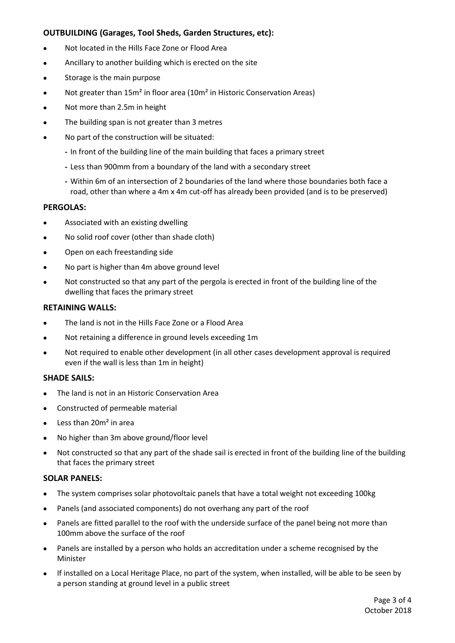## **OUTBUILDING (Garages, Tool Sheds, Garden Structures, etc):**

- Not located in the Hills Face Zone or Flood Area
- Ancillary to another building which is erected on the site
- Storage is the main purpose
- Not greater than 15m² in floor area (10m² in Historic Conservation Areas)
- Not more than 2.5m in height
- The building span is not greater than 3 metres
- No part of the construction will be situated:
	- **-** In front of the building line of the main building that faces a primary street
	- **-** Less than 900mm from a boundary of the land with a secondary street
	- **-** Within 6m of an intersection of 2 boundaries of the land where those boundaries both face a road, other than where a 4m x 4m cut-off has already been provided (and is to be preserved)

## **PERGOLAS:**

- Associated with an existing dwelling
- No solid roof cover (other than shade cloth)
- Open on each freestanding side
- No part is higher than 4m above ground level
- Not constructed so that any part of the pergola is erected in front of the building line of the dwelling that faces the primary street

## **RETAINING WALLS:**

- The land is not in the Hills Face Zone or a Flood Area
- Not retaining a difference in ground levels exceeding 1m
- Not required to enable other development (in all other cases development approval is required even if the wall is less than 1m in height)

## **SHADE SAILS:**

- The land is not in an Historic Conservation Area
- Constructed of permeable material
- $\bullet$  Less than 20 $m<sup>2</sup>$  in area
- No higher than 3m above ground/floor level
- Not constructed so that any part of the shade sail is erected in front of the building line of the building that faces the primary street

## **SOLAR PANELS:**

- The system comprises solar photovoltaic panels that have a total weight not exceeding 100kg
- Panels (and associated components) do not overhang any part of the roof
- Panels are fitted parallel to the roof with the underside surface of the panel being not more than 100mm above the surface of the roof
- Panels are installed by a person who holds an accreditation under a scheme recognised by the Minister
- If installed on a Local Heritage Place, no part of the system, when installed, will be able to be seen by a person standing at ground level in a public street